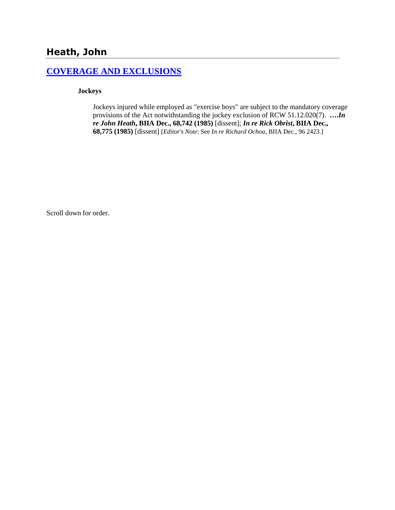# **Heath, John**

## **[COVERAGE AND EXCLUSIONS](http://www.biia.wa.gov/SDSubjectIndex.html#COVERAGE_AND_EXCLUSIONS)**

### **Jockeys**

Jockeys injured while employed as "exercise boys" are subject to the mandatory coverage provisions of the Act notwithstanding the jockey exclusion of RCW 51.12.020(7). **….***In re John Heath***, BIIA Dec., 68,742 (1985)** [dissent]; *In re Rick Obrist***, BIIA Dec., 68,775 (1985)** [dissent] [*Editor's Note*: See *In re Richard Ochoa*, BIIA Dec., 96 2423.]

Scroll down for order.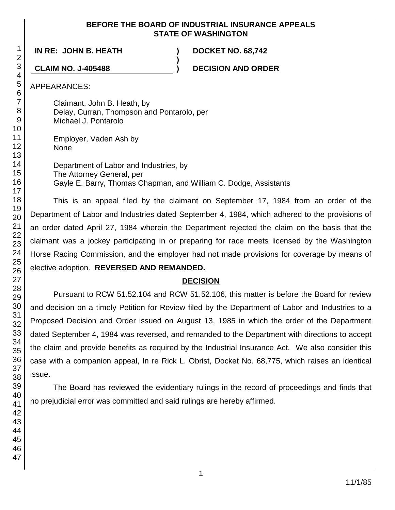### **BEFORE THE BOARD OF INDUSTRIAL INSURANCE APPEALS STATE OF WASHINGTON**

**IN RE: JOHN B. HEATH ) DOCKET NO. 68,742**

**CLAIM NO. J-405488 ) DECISION AND ORDER**

APPEARANCES:

Claimant, John B. Heath, by Delay, Curran, Thompson and Pontarolo, per Michael J. Pontarolo

Employer, Vaden Ash by None

Department of Labor and Industries, by The Attorney General, per Gayle E. Barry, Thomas Chapman, and William C. Dodge, Assistants

**)**

This is an appeal filed by the claimant on September 17, 1984 from an order of the Department of Labor and Industries dated September 4, 1984, which adhered to the provisions of an order dated April 27, 1984 wherein the Department rejected the claim on the basis that the claimant was a jockey participating in or preparing for race meets licensed by the Washington Horse Racing Commission, and the employer had not made provisions for coverage by means of elective adoption. **REVERSED AND REMANDED.**

## **DECISION**

Pursuant to RCW 51.52.104 and RCW 51.52.106, this matter is before the Board for review and decision on a timely Petition for Review filed by the Department of Labor and Industries to a Proposed Decision and Order issued on August 13, 1985 in which the order of the Department dated September 4, 1984 was reversed, and remanded to the Department with directions to accept the claim and provide benefits as required by the Industrial Insurance Act. We also consider this case with a companion appeal, In re Rick L. Obrist, Docket No. 68,775, which raises an identical issue.

The Board has reviewed the evidentiary rulings in the record of proceedings and finds that no prejudicial error was committed and said rulings are hereby affirmed.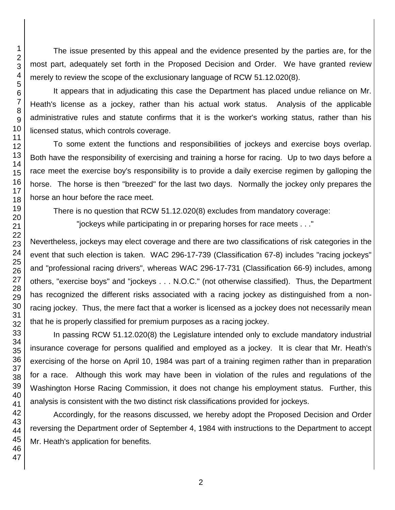The issue presented by this appeal and the evidence presented by the parties are, for the most part, adequately set forth in the Proposed Decision and Order. We have granted review merely to review the scope of the exclusionary language of RCW 51.12.020(8).

It appears that in adjudicating this case the Department has placed undue reliance on Mr. Heath's license as a jockey, rather than his actual work status. Analysis of the applicable administrative rules and statute confirms that it is the worker's working status, rather than his licensed status, which controls coverage.

To some extent the functions and responsibilities of jockeys and exercise boys overlap. Both have the responsibility of exercising and training a horse for racing. Up to two days before a race meet the exercise boy's responsibility is to provide a daily exercise regimen by galloping the horse. The horse is then "breezed" for the last two days. Normally the jockey only prepares the horse an hour before the race meet.

There is no question that RCW 51.12.020(8) excludes from mandatory coverage:

"jockeys while participating in or preparing horses for race meets . . ."

Nevertheless, jockeys may elect coverage and there are two classifications of risk categories in the event that such election is taken. WAC 296-17-739 (Classification 67-8) includes "racing jockeys" and "professional racing drivers", whereas WAC 296-17-731 (Classification 66-9) includes, among others, "exercise boys" and "jockeys . . . N.O.C." (not otherwise classified). Thus, the Department has recognized the different risks associated with a racing jockey as distinguished from a nonracing jockey. Thus, the mere fact that a worker is licensed as a jockey does not necessarily mean that he is properly classified for premium purposes as a racing jockey.

In passing RCW 51.12.020(8) the Legislature intended only to exclude mandatory industrial insurance coverage for persons qualified and employed as a jockey. It is clear that Mr. Heath's exercising of the horse on April 10, 1984 was part of a training regimen rather than in preparation for a race. Although this work may have been in violation of the rules and regulations of the Washington Horse Racing Commission, it does not change his employment status. Further, this analysis is consistent with the two distinct risk classifications provided for jockeys.

Accordingly, for the reasons discussed, we hereby adopt the Proposed Decision and Order reversing the Department order of September 4, 1984 with instructions to the Department to accept Mr. Heath's application for benefits.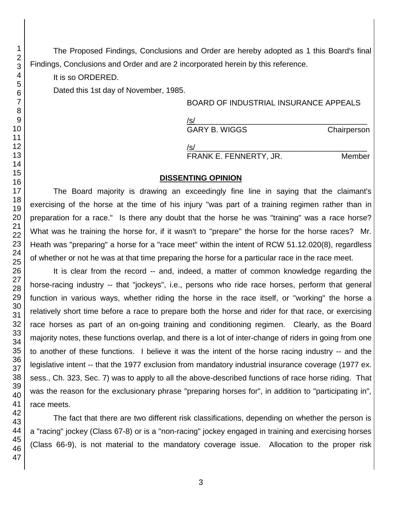The Proposed Findings, Conclusions and Order are hereby adopted as 1 this Board's final Findings, Conclusions and Order and are 2 incorporated herein by this reference.

It is so ORDERED.

Dated this 1st day of November, 1985.

## BOARD OF INDUSTRIAL INSURANCE APPEALS

/s/\_\_\_\_\_\_\_\_\_\_\_\_\_\_\_\_\_\_\_\_\_\_\_\_\_\_\_\_\_\_\_\_\_\_\_\_\_\_\_\_ GARY B. WIGGS Chairperson

/s/\_\_\_\_\_\_\_\_\_\_\_\_\_\_\_\_\_\_\_\_\_\_\_\_\_\_\_\_\_\_\_\_\_\_\_\_\_\_\_\_ FRANK E. FENNERTY, JR. Member

### **DISSENTING OPINION**

The Board majority is drawing an exceedingly fine line in saying that the claimant's exercising of the horse at the time of his injury "was part of a training regimen rather than in preparation for a race." Is there any doubt that the horse he was "training" was a race horse? What was he training the horse for, if it wasn't to "prepare" the horse for the horse races? Mr. Heath was "preparing" a horse for a "race meet" within the intent of RCW 51.12.020(8), regardless of whether or not he was at that time preparing the horse for a particular race in the race meet.

It is clear from the record -- and, indeed, a matter of common knowledge regarding the horse-racing industry -- that "jockeys", i.e., persons who ride race horses, perform that general function in various ways, whether riding the horse in the race itself, or "working" the horse a relatively short time before a race to prepare both the horse and rider for that race, or exercising race horses as part of an on-going training and conditioning regimen. Clearly, as the Board majority notes, these functions overlap, and there is a lot of inter-change of riders in going from one to another of these functions. I believe it was the intent of the horse racing industry -- and the legislative intent -- that the 1977 exclusion from mandatory industrial insurance coverage (1977 ex. sess., Ch. 323, Sec. 7) was to apply to all the above-described functions of race horse riding. That was the reason for the exclusionary phrase "preparing horses for", in addition to "participating in", race meets.

The fact that there are two different risk classifications, depending on whether the person is a "racing" jockey (Class 67-8) or is a "non-racing" jockey engaged in training and exercising horses (Class 66-9), is not material to the mandatory coverage issue. Allocation to the proper risk